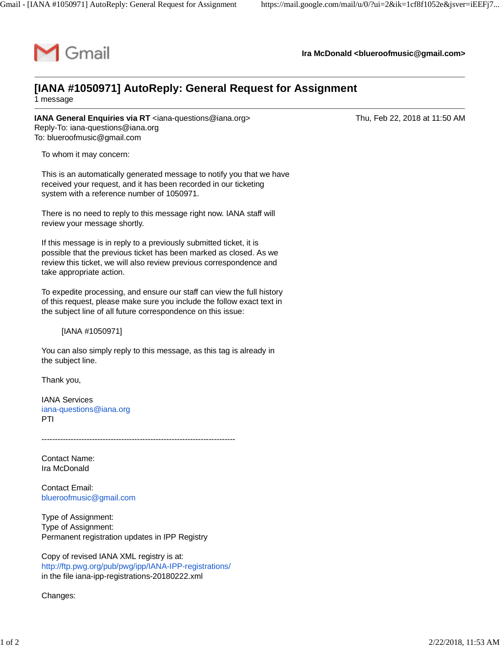

**Ira McDonald [<blueroofmusic@gmail.com](mailto:blueroofmusic@gmail.com)>**

## **[IANA #1050971] AutoReply: General Request for Assignment**

1 message

**IANA General Enquiries via RT** [<iana-questions@iana.org>](mailto:iana-questions@iana.org) The Thu, Feb 22, 2018 at 11:50 AM Reply-To: [iana-questions@iana.org](mailto:iana-questions@iana.org) To: [blueroofmusic@gmail.com](mailto:blueroofmusic@gmail.com)

To whom it may concern:

This is an automatically generated message to notify you that we have received your request, and it has been recorded in our ticketing system with a reference number of 1050971.

There is no need to reply to this message right now. IANA staff will review your message shortly.

If this message is in reply to a previously submitted ticket, it is possible that the previous ticket has been marked as closed. As we review this ticket, we will also review previous correspondence and take appropriate action.

To expedite processing, and ensure our staff can view the full history of this request, please make sure you include the follow exact text in the subject line of all future correspondence on this issue:

[IANA #1050971]

You can also simply reply to this message, as this tag is already in the subject line.

Thank you,

IANA Services [iana-questions@iana.org](mailto:iana-questions@iana.org) PTI

-------------------------------------------------------------------------

Contact Name: Ira McDonald

Contact Email: [blueroofmusic@gmail.com](mailto:blueroofmusic@gmail.com)

Type of Assignment: Type of Assignment: Permanent registration updates in IPP Registry

Copy of revised IANA XML registry is at: <http://ftp.pwg.org/pub/pwg/ipp/IANA-IPP-registrations/> in the file iana-ipp-registrations-20180222.xml

Changes: